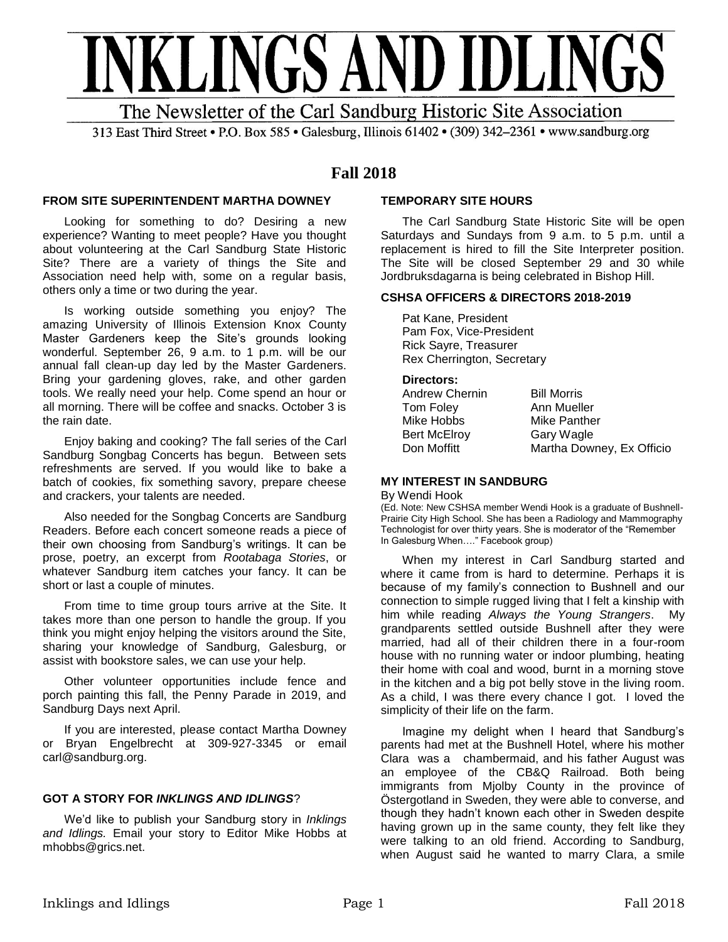

313 East Third Street • P.O. Box 585 • Galesburg, Illinois 61402 • (309) 342-2361 • www.sandburg.org

# **Fall 2018**

### **FROM SITE SUPERINTENDENT MARTHA DOWNEY**

Looking for something to do? Desiring a new experience? Wanting to meet people? Have you thought about volunteering at the Carl Sandburg State Historic Site? There are a variety of things the Site and Association need help with, some on a regular basis, others only a time or two during the year.

Is working outside something you enjoy? The amazing University of Illinois Extension Knox County Master Gardeners keep the Site's grounds looking wonderful. September 26, 9 a.m. to 1 p.m. will be our annual fall clean-up day led by the Master Gardeners. Bring your gardening gloves, rake, and other garden tools. We really need your help. Come spend an hour or all morning. There will be coffee and snacks. October 3 is the rain date.

Enjoy baking and cooking? The fall series of the Carl Sandburg Songbag Concerts has begun. Between sets refreshments are served. If you would like to bake a batch of cookies, fix something savory, prepare cheese and crackers, your talents are needed.

Also needed for the Songbag Concerts are Sandburg Readers. Before each concert someone reads a piece of their own choosing from Sandburg's writings. It can be prose, poetry, an excerpt from *Rootabaga Stories*, or whatever Sandburg item catches your fancy. It can be short or last a couple of minutes.

From time to time group tours arrive at the Site. It takes more than one person to handle the group. If you think you might enjoy helping the visitors around the Site, sharing your knowledge of Sandburg, Galesburg, or assist with bookstore sales, we can use your help.

Other volunteer opportunities include fence and porch painting this fall, the Penny Parade in 2019, and Sandburg Days next April.

If you are interested, please contact Martha Downey or Bryan Engelbrecht at 309-927-3345 or email carl@sandburg.org.

### **GOT A STORY FOR** *INKLINGS AND IDLINGS*?

We'd like to publish your Sandburg story in *Inklings and Idlings.* Email your story to Editor Mike Hobbs at mhobbs@grics.net.

### **TEMPORARY SITE HOURS**

The Carl Sandburg State Historic Site will be open Saturdays and Sundays from 9 a.m. to 5 p.m. until a replacement is hired to fill the Site Interpreter position. The Site will be closed September 29 and 30 while Jordbruksdagarna is being celebrated in Bishop Hill.

### **CSHSA OFFICERS & DIRECTORS 2018-2019**

Pat Kane, President Pam Fox, Vice-President Rick Sayre, Treasurer Rex Cherrington, Secretary

### **Directors:**

| Andrew Chernin      | <b>Bill Morris</b>        |
|---------------------|---------------------------|
| Tom Foley           | Ann Mueller               |
| Mike Hobbs          | Mike Panther              |
| <b>Bert McElroy</b> | Gary Wagle                |
| Don Moffitt         | Martha Downey, Ex Officio |

### **MY INTEREST IN SANDBURG**

#### By Wendi Hook

(Ed. Note: New CSHSA member Wendi Hook is a graduate of Bushnell-Prairie City High School. She has been a Radiology and Mammography Technologist for over thirty years. She is moderator of the "Remember In Galesburg When…." Facebook group)

When my interest in Carl Sandburg started and where it came from is hard to determine. Perhaps it is because of my family's connection to Bushnell and our connection to simple rugged living that I felt a kinship with him while reading *Always the Young Strangers*. My grandparents settled outside Bushnell after they were married, had all of their children there in a four-room house with no running water or indoor plumbing, heating their home with coal and wood, burnt in a morning stove in the kitchen and a big pot belly stove in the living room. As a child, I was there every chance I got. I loved the simplicity of their life on the farm.

Imagine my delight when I heard that Sandburg's parents had met at the Bushnell Hotel, where his mother Clara was a chambermaid, and his father August was an employee of the CB&Q Railroad. Both being immigrants from Mjolby County in the province of Östergotland in Sweden, they were able to converse, and though they hadn't known each other in Sweden despite having grown up in the same county, they felt like they were talking to an old friend. According to Sandburg, when August said he wanted to marry Clara, a smile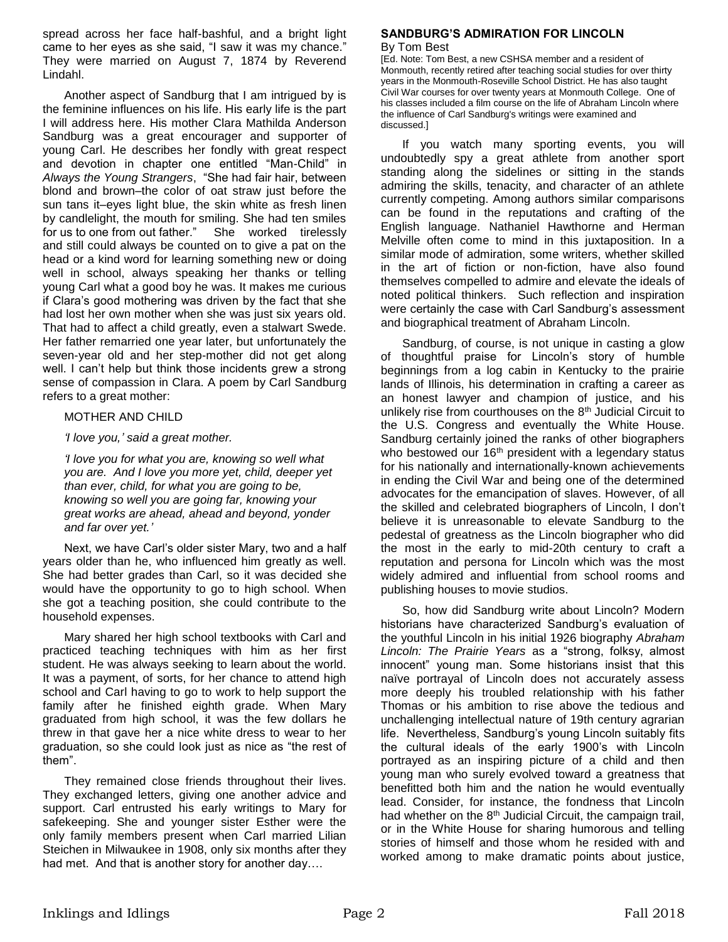spread across her face half-bashful, and a bright light came to her eyes as she said, "I saw it was my chance." They were married on August 7, 1874 by Reverend Lindahl.

Another aspect of Sandburg that I am intrigued by is the feminine influences on his life. His early life is the part I will address here. His mother Clara Mathilda Anderson Sandburg was a great encourager and supporter of young Carl. He describes her fondly with great respect and devotion in chapter one entitled "Man-Child" in *Always the Young Strangers*, "She had fair hair, between blond and brown–the color of oat straw just before the sun tans it–eyes light blue, the skin white as fresh linen by candlelight, the mouth for smiling. She had ten smiles for us to one from out father." She worked tirelessly and still could always be counted on to give a pat on the head or a kind word for learning something new or doing well in school, always speaking her thanks or telling young Carl what a good boy he was. It makes me curious if Clara's good mothering was driven by the fact that she had lost her own mother when she was just six years old. That had to affect a child greatly, even a stalwart Swede. Her father remarried one year later, but unfortunately the seven-year old and her step-mother did not get along well. I can't help but think those incidents grew a strong sense of compassion in Clara. A poem by Carl Sandburg refers to a great mother:

### MOTHER AND CHILD

*'I love you,' said a great mother.*

*'I love you for what you are, knowing so well what you are. And I love you more yet, child, deeper yet than ever, child, for what you are going to be, knowing so well you are going far, knowing your great works are ahead, ahead and beyond, yonder and far over yet.'*

Next, we have Carl's older sister Mary, two and a half years older than he, who influenced him greatly as well. She had better grades than Carl, so it was decided she would have the opportunity to go to high school. When she got a teaching position, she could contribute to the household expenses.

Mary shared her high school textbooks with Carl and practiced teaching techniques with him as her first student. He was always seeking to learn about the world. It was a payment, of sorts, for her chance to attend high school and Carl having to go to work to help support the family after he finished eighth grade. When Mary graduated from high school, it was the few dollars he threw in that gave her a nice white dress to wear to her graduation, so she could look just as nice as "the rest of them".

They remained close friends throughout their lives. They exchanged letters, giving one another advice and support. Carl entrusted his early writings to Mary for safekeeping. She and younger sister Esther were the only family members present when Carl married Lilian Steichen in Milwaukee in 1908, only six months after they had met. And that is another story for another day….

#### **SANDBURG'S ADMIRATION FOR LINCOLN** By Tom Best

[Ed. Note: Tom Best, a new CSHSA member and a resident of Monmouth, recently retired after teaching social studies for over thirty years in the Monmouth-Roseville School District. He has also taught Civil War courses for over twenty years at Monmouth College. One of his classes included a film course on the life of Abraham Lincoln where the influence of Carl Sandburg's writings were examined and discussed.]

If you watch many sporting events, you will undoubtedly spy a great athlete from another sport standing along the sidelines or sitting in the stands admiring the skills, tenacity, and character of an athlete currently competing. Among authors similar comparisons can be found in the reputations and crafting of the English language. Nathaniel Hawthorne and Herman Melville often come to mind in this juxtaposition. In a similar mode of admiration, some writers, whether skilled in the art of fiction or non-fiction, have also found themselves compelled to admire and elevate the ideals of noted political thinkers. Such reflection and inspiration were certainly the case with Carl Sandburg's assessment and biographical treatment of Abraham Lincoln.

Sandburg, of course, is not unique in casting a glow of thoughtful praise for Lincoln's story of humble beginnings from a log cabin in Kentucky to the prairie lands of Illinois, his determination in crafting a career as an honest lawyer and champion of justice, and his unlikely rise from courthouses on the 8<sup>th</sup> Judicial Circuit to the U.S. Congress and eventually the White House. Sandburg certainly joined the ranks of other biographers who bestowed our  $16<sup>th</sup>$  president with a legendary status for his nationally and internationally-known achievements in ending the Civil War and being one of the determined advocates for the emancipation of slaves. However, of all the skilled and celebrated biographers of Lincoln, I don't believe it is unreasonable to elevate Sandburg to the pedestal of greatness as the Lincoln biographer who did the most in the early to mid-20th century to craft a reputation and persona for Lincoln which was the most widely admired and influential from school rooms and publishing houses to movie studios.

So, how did Sandburg write about Lincoln? Modern historians have characterized Sandburg's evaluation of the youthful Lincoln in his initial 1926 biography *Abraham Lincoln: The Prairie Years* as a "strong, folksy, almost innocent" young man. Some historians insist that this naïve portrayal of Lincoln does not accurately assess more deeply his troubled relationship with his father Thomas or his ambition to rise above the tedious and unchallenging intellectual nature of 19th century agrarian life. Nevertheless, Sandburg's young Lincoln suitably fits the cultural ideals of the early 1900's with Lincoln portrayed as an inspiring picture of a child and then young man who surely evolved toward a greatness that benefitted both him and the nation he would eventually lead. Consider, for instance, the fondness that Lincoln had whether on the 8<sup>th</sup> Judicial Circuit, the campaign trail, or in the White House for sharing humorous and telling stories of himself and those whom he resided with and worked among to make dramatic points about justice,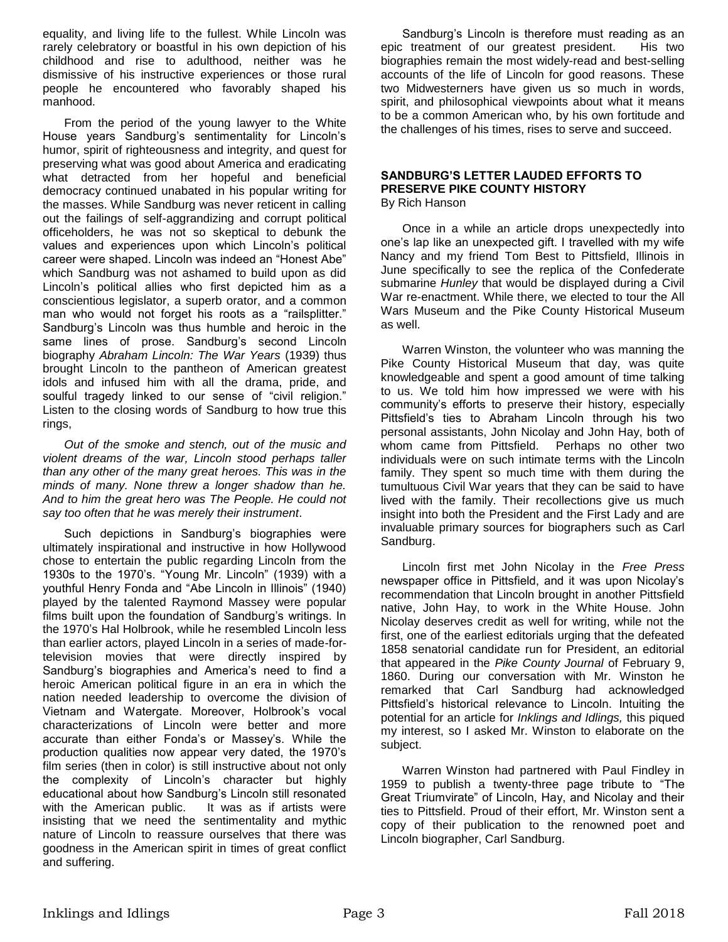equality, and living life to the fullest. While Lincoln was rarely celebratory or boastful in his own depiction of his childhood and rise to adulthood, neither was he dismissive of his instructive experiences or those rural people he encountered who favorably shaped his manhood.

From the period of the young lawyer to the White House years Sandburg's sentimentality for Lincoln's humor, spirit of righteousness and integrity, and quest for preserving what was good about America and eradicating what detracted from her hopeful and beneficial democracy continued unabated in his popular writing for the masses. While Sandburg was never reticent in calling out the failings of self-aggrandizing and corrupt political officeholders, he was not so skeptical to debunk the values and experiences upon which Lincoln's political career were shaped. Lincoln was indeed an "Honest Abe" which Sandburg was not ashamed to build upon as did Lincoln's political allies who first depicted him as a conscientious legislator, a superb orator, and a common man who would not forget his roots as a "railsplitter." Sandburg's Lincoln was thus humble and heroic in the same lines of prose. Sandburg's second Lincoln biography *Abraham Lincoln: The War Years* (1939) thus brought Lincoln to the pantheon of American greatest idols and infused him with all the drama, pride, and soulful tragedy linked to our sense of "civil religion." Listen to the closing words of Sandburg to how true this rings,

*Out of the smoke and stench, out of the music and violent dreams of the war, Lincoln stood perhaps taller than any other of the many great heroes. This was in the minds of many. None threw a longer shadow than he. And to him the great hero was The People. He could not say too often that he was merely their instrument*.

Such depictions in Sandburg's biographies were ultimately inspirational and instructive in how Hollywood chose to entertain the public regarding Lincoln from the 1930s to the 1970's. "Young Mr. Lincoln" (1939) with a youthful Henry Fonda and "Abe Lincoln in Illinois" (1940) played by the talented Raymond Massey were popular films built upon the foundation of Sandburg's writings. In the 1970's Hal Holbrook, while he resembled Lincoln less than earlier actors, played Lincoln in a series of made-fortelevision movies that were directly inspired by Sandburg's biographies and America's need to find a heroic American political figure in an era in which the nation needed leadership to overcome the division of Vietnam and Watergate. Moreover, Holbrook's vocal characterizations of Lincoln were better and more accurate than either Fonda's or Massey's. While the production qualities now appear very dated, the 1970's film series (then in color) is still instructive about not only the complexity of Lincoln's character but highly educational about how Sandburg's Lincoln still resonated with the American public. It was as if artists were insisting that we need the sentimentality and mythic nature of Lincoln to reassure ourselves that there was goodness in the American spirit in times of great conflict and suffering.

Sandburg's Lincoln is therefore must reading as an epic treatment of our greatest president. His two biographies remain the most widely-read and best-selling accounts of the life of Lincoln for good reasons. These two Midwesterners have given us so much in words, spirit, and philosophical viewpoints about what it means to be a common American who, by his own fortitude and the challenges of his times, rises to serve and succeed.

### **SANDBURG'S LETTER LAUDED EFFORTS TO PRESERVE PIKE COUNTY HISTORY** By Rich Hanson

Once in a while an article drops unexpectedly into one's lap like an unexpected gift. I travelled with my wife Nancy and my friend Tom Best to Pittsfield, Illinois in June specifically to see the replica of the Confederate submarine *Hunley* that would be displayed during a Civil War re-enactment. While there, we elected to tour the All Wars Museum and the Pike County Historical Museum as well.

Warren Winston, the volunteer who was manning the Pike County Historical Museum that day, was quite knowledgeable and spent a good amount of time talking to us. We told him how impressed we were with his community's efforts to preserve their history, especially Pittsfield's ties to Abraham Lincoln through his two personal assistants, John Nicolay and John Hay, both of whom came from Pittsfield. Perhaps no other two individuals were on such intimate terms with the Lincoln family. They spent so much time with them during the tumultuous Civil War years that they can be said to have lived with the family. Their recollections give us much insight into both the President and the First Lady and are invaluable primary sources for biographers such as Carl Sandburg.

Lincoln first met John Nicolay in the *Free Press* newspaper office in Pittsfield, and it was upon Nicolay's recommendation that Lincoln brought in another Pittsfield native, John Hay, to work in the White House. John Nicolay deserves credit as well for writing, while not the first, one of the earliest editorials urging that the defeated 1858 senatorial candidate run for President, an editorial that appeared in the *Pike County Journal* of February 9, 1860. During our conversation with Mr. Winston he remarked that Carl Sandburg had acknowledged Pittsfield's historical relevance to Lincoln. Intuiting the potential for an article for *Inklings and Idlings,* this piqued my interest, so I asked Mr. Winston to elaborate on the subject.

Warren Winston had partnered with Paul Findley in 1959 to publish a twenty-three page tribute to "The Great Triumvirate" of Lincoln, Hay, and Nicolay and their ties to Pittsfield. Proud of their effort, Mr. Winston sent a copy of their publication to the renowned poet and Lincoln biographer, Carl Sandburg.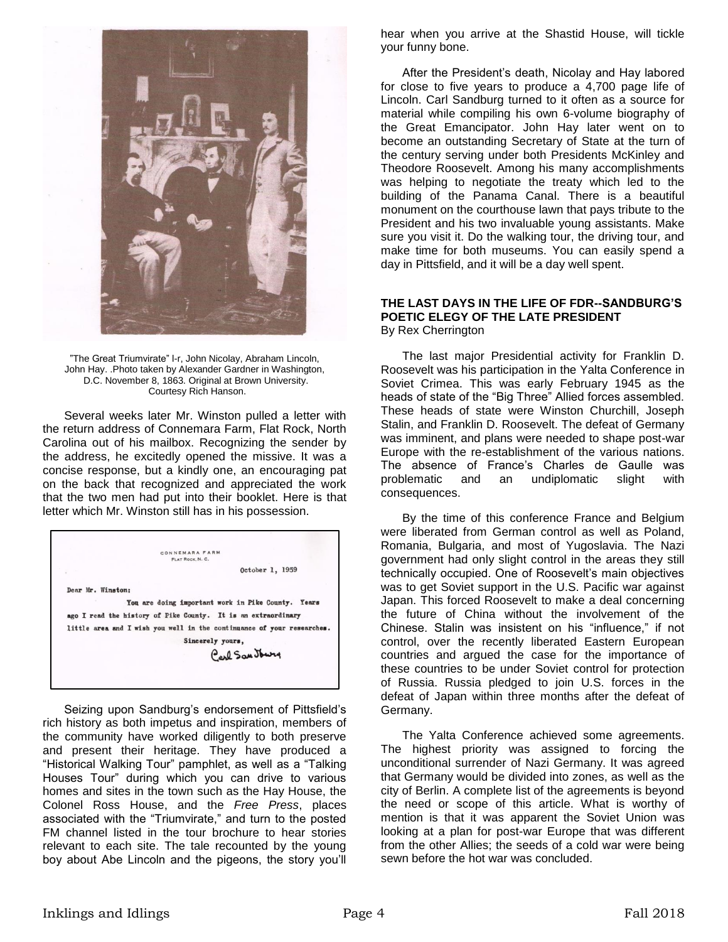

"The Great Triumvirate" l-r, John Nicolay, Abraham Lincoln, John Hay. .Photo taken by Alexander Gardner in Washington, D.C. November 8, 1863. Original at Brown University. Courtesy Rich Hanson.

Several weeks later Mr. Winston pulled a letter with the return address of Connemara Farm, Flat Rock, North Carolina out of his mailbox. Recognizing the sender by the address, he excitedly opened the missive. It was a concise response, but a kindly one, an encouraging pat on the back that recognized and appreciated the work that the two men had put into their booklet. Here is that letter which Mr. Winston still has in his possession.



Seizing upon Sandburg's endorsement of Pittsfield's rich history as both impetus and inspiration, members of the community have worked diligently to both preserve and present their heritage. They have produced a "Historical Walking Tour" pamphlet, as well as a "Talking Houses Tour" during which you can drive to various homes and sites in the town such as the Hay House, the Colonel Ross House, and the *Free Press*, places associated with the "Triumvirate," and turn to the posted FM channel listed in the tour brochure to hear stories relevant to each site. The tale recounted by the young boy about Abe Lincoln and the pigeons, the story you'll

hear when you arrive at the Shastid House, will tickle your funny bone.

After the President's death, Nicolay and Hay labored for close to five years to produce a 4,700 page life of Lincoln. Carl Sandburg turned to it often as a source for material while compiling his own 6-volume biography of the Great Emancipator. John Hay later went on to become an outstanding Secretary of State at the turn of the century serving under both Presidents McKinley and Theodore Roosevelt. Among his many accomplishments was helping to negotiate the treaty which led to the building of the Panama Canal. There is a beautiful monument on the courthouse lawn that pays tribute to the President and his two invaluable young assistants. Make sure you visit it. Do the walking tour, the driving tour, and make time for both museums. You can easily spend a day in Pittsfield, and it will be a day well spent.

### **THE LAST DAYS IN THE LIFE OF FDR--SANDBURG'S POETIC ELEGY OF THE LATE PRESIDENT** By Rex Cherrington

The last major Presidential activity for Franklin D. Roosevelt was his participation in the Yalta Conference in Soviet Crimea. This was early February 1945 as the heads of state of the "Big Three" Allied forces assembled. These heads of state were Winston Churchill, Joseph Stalin, and Franklin D. Roosevelt. The defeat of Germany was imminent, and plans were needed to shape post-war Europe with the re-establishment of the various nations. The absence of France's Charles de Gaulle was problematic and an undiplomatic slight with consequences.

By the time of this conference France and Belgium were liberated from German control as well as Poland, Romania, Bulgaria, and most of Yugoslavia. The Nazi government had only slight control in the areas they still technically occupied. One of Roosevelt's main objectives was to get Soviet support in the U.S. Pacific war against Japan. This forced Roosevelt to make a deal concerning the future of China without the involvement of the Chinese. Stalin was insistent on his "influence," if not control, over the recently liberated Eastern European countries and argued the case for the importance of these countries to be under Soviet control for protection of Russia. Russia pledged to join U.S. forces in the defeat of Japan within three months after the defeat of Germany.

The Yalta Conference achieved some agreements. The highest priority was assigned to forcing the unconditional surrender of Nazi Germany. It was agreed that Germany would be divided into zones, as well as the city of Berlin. A complete list of the agreements is beyond the need or scope of this article. What is worthy of mention is that it was apparent the Soviet Union was looking at a plan for post-war Europe that was different from the other Allies; the seeds of a cold war were being sewn before the hot war was concluded.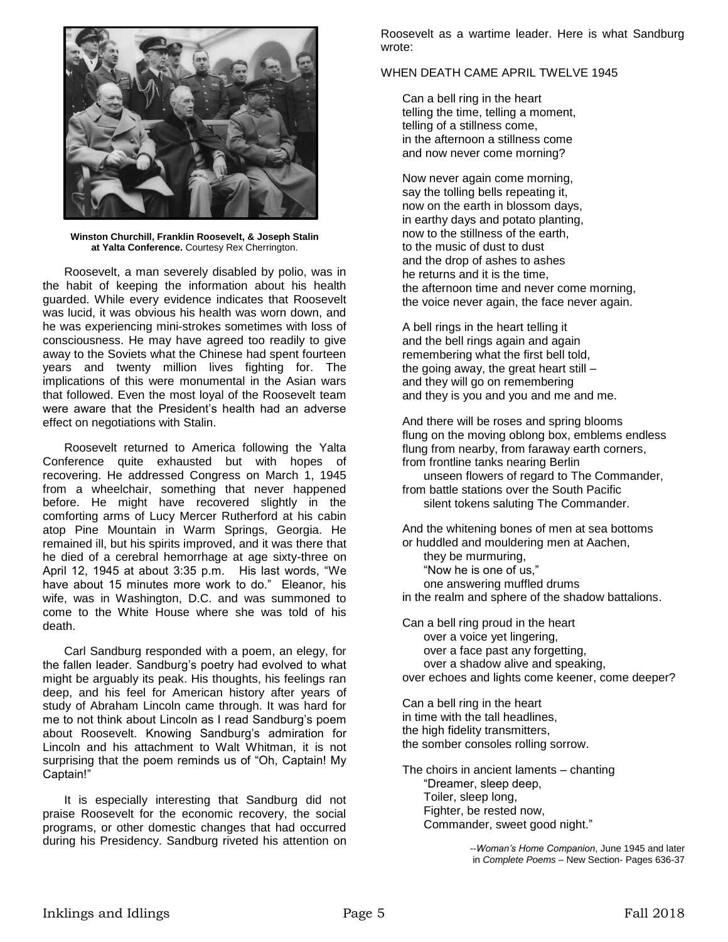

**Winston Churchill, Franklin Roosevelt, & Joseph Stalin at Yalta Conference.** Courtesy Rex Cherrington.

Roosevelt, a man severely disabled by polio, was in the habit of keeping the information about his health guarded. While every evidence indicates that Roosevelt was lucid, it was obvious his health was worn down, and he was experiencing mini-strokes sometimes with loss of consciousness. He may have agreed too readily to give away to the Soviets what the Chinese had spent fourteen years and twenty million lives fighting for. The implications of this were monumental in the Asian wars that followed. Even the most loyal of the Roosevelt team were aware that the President's health had an adverse effect on negotiations with Stalin.

Roosevelt returned to America following the Yalta Conference quite exhausted but with hopes of recovering. He addressed Congress on March 1, 1945 from a wheelchair, something that never happened before. He might have recovered slightly in the comforting arms of Lucy Mercer Rutherford at his cabin atop Pine Mountain in Warm Springs, Georgia. He remained ill, but his spirits improved, and it was there that he died of a cerebral hemorrhage at age sixty-three on April 12, 1945 at about 3:35 p.m. His last words, "We have about 15 minutes more work to do." Eleanor, his wife, was in Washington, D.C. and was summoned to come to the White House where she was told of his death.

Carl Sandburg responded with a poem, an elegy, for the fallen leader. Sandburg's poetry had evolved to what might be arguably its peak. His thoughts, his feelings ran deep, and his feel for American history after years of study of Abraham Lincoln came through. It was hard for me to not think about Lincoln as I read Sandburg's poem about Roosevelt. Knowing Sandburg's admiration for Lincoln and his attachment to Walt Whitman, it is not surprising that the poem reminds us of "Oh, Captain! My Captain!"

It is especially interesting that Sandburg did not praise Roosevelt for the economic recovery, the social programs, or other domestic changes that had occurred during his Presidency. Sandburg riveted his attention on

Roosevelt as a wartime leader. Here is what Sandburg wrote:

#### WHEN DEATH CAME APRIL TWELVE 1945

Can a bell ring in the heart telling the time, telling a moment, telling of a stillness come, in the afternoon a stillness come and now never come morning?

Now never again come morning, say the tolling bells repeating it, now on the earth in blossom days, in earthy days and potato planting, now to the stillness of the earth, to the music of dust to dust and the drop of ashes to ashes he returns and it is the time, the afternoon time and never come morning, the voice never again, the face never again.

A bell rings in the heart telling it and the bell rings again and again remembering what the first bell told, the going away, the great heart still – and they will go on remembering and they is you and you and me and me.

And there will be roses and spring blooms flung on the moving oblong box, emblems endless flung from nearby, from faraway earth corners, from frontline tanks nearing Berlin

unseen flowers of regard to The Commander, from battle stations over the South Pacific silent tokens saluting The Commander.

And the whitening bones of men at sea bottoms or huddled and mouldering men at Aachen, they be murmuring, "Now he is one of us," one answering muffled drums in the realm and sphere of the shadow battalions.

Can a bell ring proud in the heart over a voice yet lingering, over a face past any forgetting, over a shadow alive and speaking, over echoes and lights come keener, come deeper?

Can a bell ring in the heart in time with the tall headlines, the high fidelity transmitters, the somber consoles rolling sorrow.

The choirs in ancient laments – chanting "Dreamer, sleep deep, Toiler, sleep long, Fighter, be rested now, Commander, sweet good night."

> *--Woman's Home Companion*, June 1945 and later in *Complete Poems* – New Section- Pages 636-37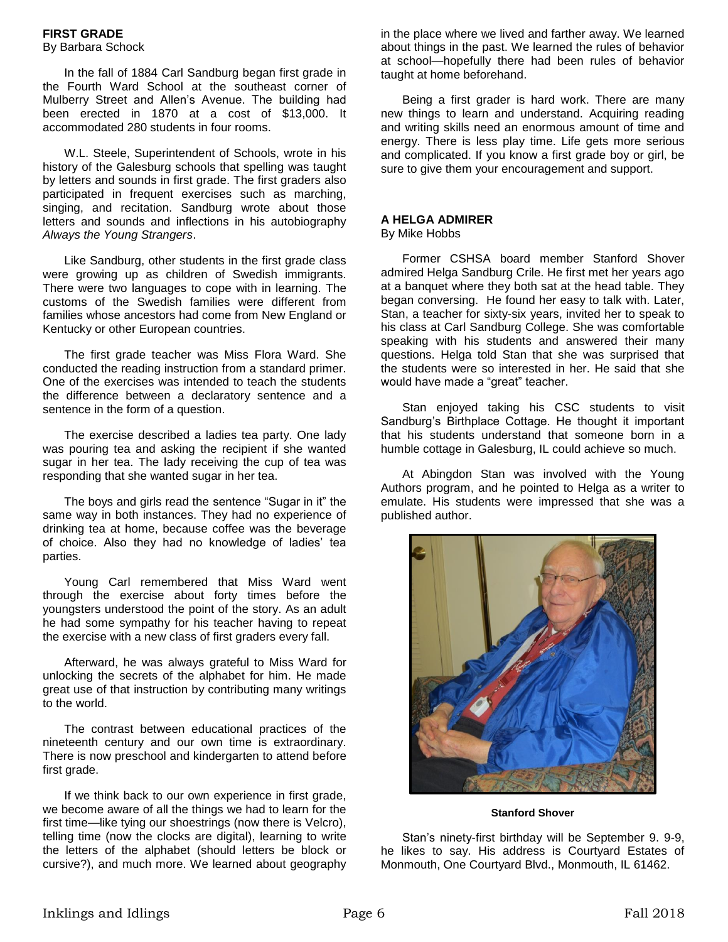### **FIRST GRADE**

### By Barbara Schock

In the fall of 1884 Carl Sandburg began first grade in the Fourth Ward School at the southeast corner of Mulberry Street and Allen's Avenue. The building had been erected in 1870 at a cost of \$13,000. It accommodated 280 students in four rooms.

W.L. Steele, Superintendent of Schools, wrote in his history of the Galesburg schools that spelling was taught by letters and sounds in first grade. The first graders also participated in frequent exercises such as marching, singing, and recitation. Sandburg wrote about those letters and sounds and inflections in his autobiography *Always the Young Strangers*.

Like Sandburg, other students in the first grade class were growing up as children of Swedish immigrants. There were two languages to cope with in learning. The customs of the Swedish families were different from families whose ancestors had come from New England or Kentucky or other European countries.

The first grade teacher was Miss Flora Ward. She conducted the reading instruction from a standard primer. One of the exercises was intended to teach the students the difference between a declaratory sentence and a sentence in the form of a question.

The exercise described a ladies tea party. One lady was pouring tea and asking the recipient if she wanted sugar in her tea. The lady receiving the cup of tea was responding that she wanted sugar in her tea.

The boys and girls read the sentence "Sugar in it" the same way in both instances. They had no experience of drinking tea at home, because coffee was the beverage of choice. Also they had no knowledge of ladies' tea parties.

Young Carl remembered that Miss Ward went through the exercise about forty times before the youngsters understood the point of the story. As an adult he had some sympathy for his teacher having to repeat the exercise with a new class of first graders every fall.

Afterward, he was always grateful to Miss Ward for unlocking the secrets of the alphabet for him. He made great use of that instruction by contributing many writings to the world.

The contrast between educational practices of the nineteenth century and our own time is extraordinary. There is now preschool and kindergarten to attend before first grade.

If we think back to our own experience in first grade, we become aware of all the things we had to learn for the first time—like tying our shoestrings (now there is Velcro), telling time (now the clocks are digital), learning to write the letters of the alphabet (should letters be block or cursive?), and much more. We learned about geography in the place where we lived and farther away. We learned about things in the past. We learned the rules of behavior at school—hopefully there had been rules of behavior taught at home beforehand.

Being a first grader is hard work. There are many new things to learn and understand. Acquiring reading and writing skills need an enormous amount of time and energy. There is less play time. Life gets more serious and complicated. If you know a first grade boy or girl, be sure to give them your encouragement and support.

## **A HELGA ADMIRER**

### By Mike Hobbs

Former CSHSA board member Stanford Shover admired Helga Sandburg Crile. He first met her years ago at a banquet where they both sat at the head table. They began conversing. He found her easy to talk with. Later, Stan, a teacher for sixty-six years, invited her to speak to his class at Carl Sandburg College. She was comfortable speaking with his students and answered their many questions. Helga told Stan that she was surprised that the students were so interested in her. He said that she would have made a "great" teacher.

Stan enjoyed taking his CSC students to visit Sandburg's Birthplace Cottage. He thought it important that his students understand that someone born in a humble cottage in Galesburg, IL could achieve so much.

At Abingdon Stan was involved with the Young Authors program, and he pointed to Helga as a writer to emulate. His students were impressed that she was a published author.



**Stanford Shover** 

Stan's ninety-first birthday will be September 9. 9-9, he likes to say. His address is Courtyard Estates of Monmouth, One Courtyard Blvd., Monmouth, IL 61462.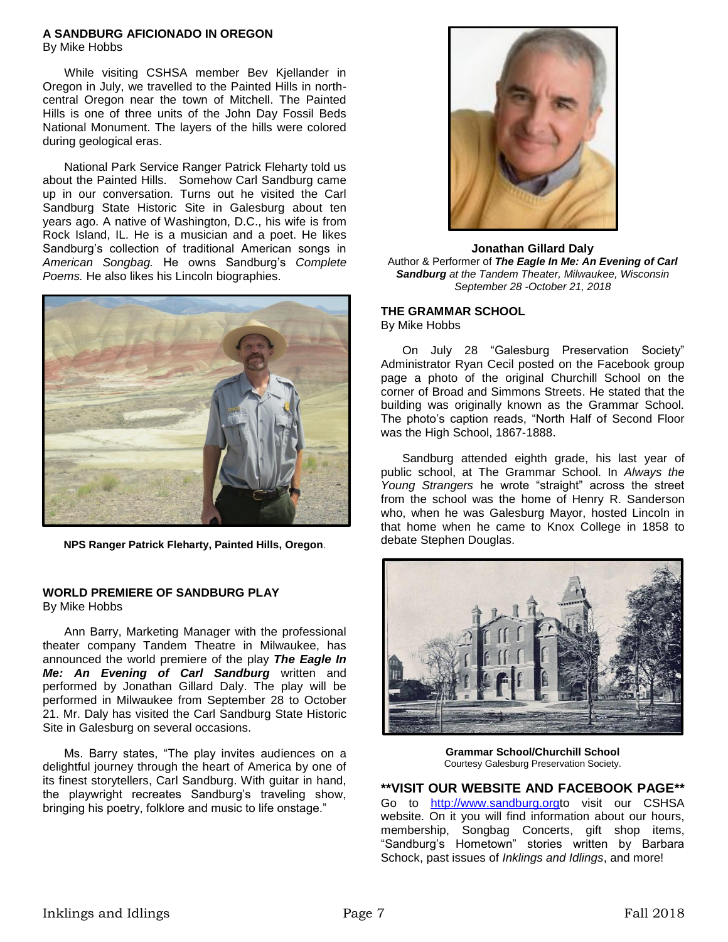### **A SANDBURG AFICIONADO IN OREGON**

By Mike Hobbs

While visiting CSHSA member Bev Kjellander in Oregon in July, we travelled to the Painted Hills in northcentral Oregon near the town of Mitchell. The Painted Hills is one of three units of the John Day Fossil Beds National Monument. The layers of the hills were colored during geological eras.

National Park Service Ranger Patrick Fleharty told us about the Painted Hills. Somehow Carl Sandburg came up in our conversation. Turns out he visited the Carl Sandburg State Historic Site in Galesburg about ten years ago. A native of Washington, D.C., his wife is from Rock Island, IL. He is a musician and a poet. He likes Sandburg's collection of traditional American songs in *American Songbag.* He owns Sandburg's *Complete Poems.* He also likes his Lincoln biographies.



**NPS Ranger Patrick Fleharty, Painted Hills, Oregon**.

# **WORLD PREMIERE OF SANDBURG PLAY**

By Mike Hobbs

Ann Barry, Marketing Manager with the professional theater company Tandem Theatre in Milwaukee, has announced the world premiere of the play *The Eagle In Me: An Evening of Carl Sandburg* written and performed by Jonathan Gillard Daly. The play will be performed in Milwaukee from September 28 to October 21. Mr. Daly has visited the Carl Sandburg State Historic Site in Galesburg on several occasions.

Ms. Barry states, "The play invites audiences on a delightful journey through the heart of America by one of its finest storytellers, Carl Sandburg. With guitar in hand, the playwright recreates Sandburg's traveling show, bringing his poetry, folklore and music to life onstage."



**Jonathan Gillard Daly** Author & Performer of *The Eagle In Me: An Evening of Carl Sandburg at the Tandem Theater, Milwaukee, Wisconsin September 28 -October 21, 2018*

### **THE GRAMMAR SCHOOL**

By Mike Hobbs

On July 28 "Galesburg Preservation Society" Administrator Ryan Cecil posted on the Facebook group page a photo of the original Churchill School on the corner of Broad and Simmons Streets. He stated that the building was originally known as the Grammar School. The photo's caption reads, "North Half of Second Floor was the High School, 1867-1888.

Sandburg attended eighth grade, his last year of public school, at The Grammar School. In *Always the Young Strangers* he wrote "straight" across the street from the school was the home of Henry R. Sanderson who, when he was Galesburg Mayor, hosted Lincoln in that home when he came to Knox College in 1858 to debate Stephen Douglas.



**Grammar School/Churchill School** Courtesy Galesburg Preservation Society.

**\*\*VISIT OUR WEBSITE AND FACEBOOK PAGE\*\*** Go to [http://www.sandburg.orgt](http://www.sandburg.org/)o visit our CSHSA website. On it you will find information about our hours, membership, Songbag Concerts, gift shop items, "Sandburg's Hometown" stories written by Barbara Schock, past issues of *Inklings and Idlings*, and more!